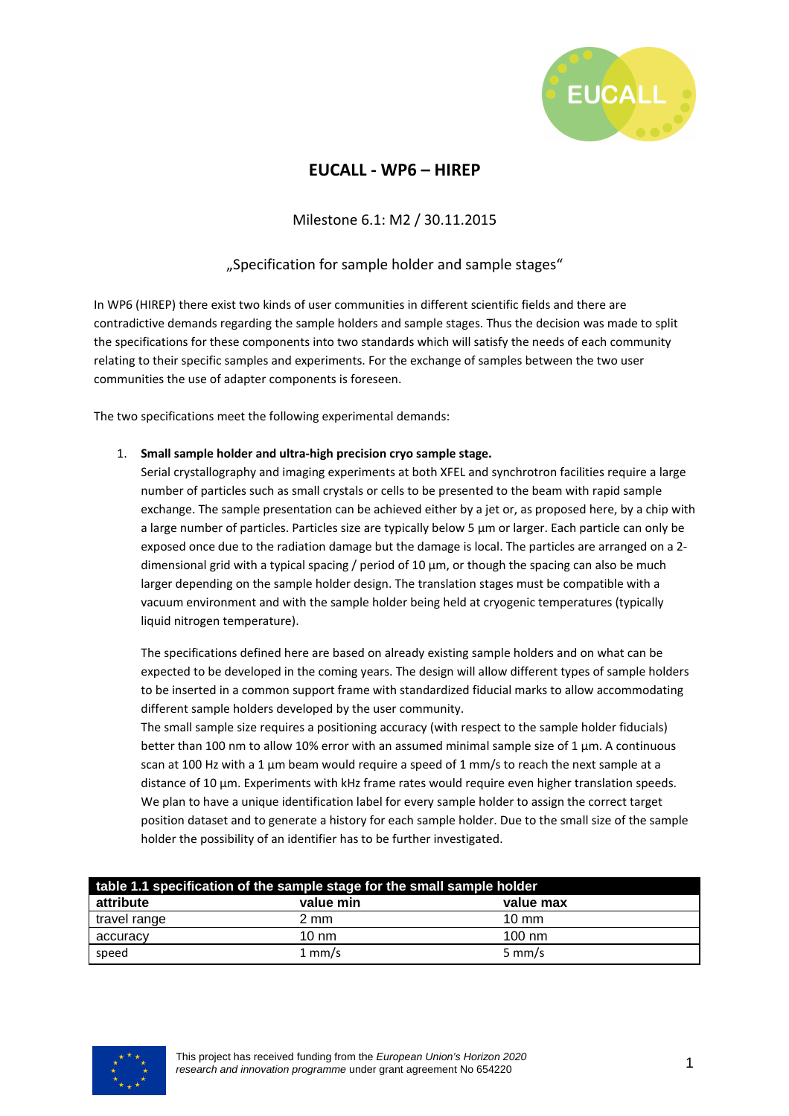

## **EUCALL - WP6 – HIREP**

Milestone 6.1: M2 / 30.11.2015

## "Specification for sample holder and sample stages"

In WP6 (HIREP) there exist two kinds of user communities in different scientific fields and there are contradictive demands regarding the sample holders and sample stages. Thus the decision was made to split the specifications for these components into two standards which will satisfy the needs of each community relating to their specific samples and experiments. For the exchange of samples between the two user communities the use of adapter components is foreseen.

The two specifications meet the following experimental demands:

## 1. **Small sample holder and ultra-high precision cryo sample stage.**

Serial crystallography and imaging experiments at both XFEL and synchrotron facilities require a large number of particles such as small crystals or cells to be presented to the beam with rapid sample exchange. The sample presentation can be achieved either by a jet or, as proposed here, by a chip with a large number of particles. Particles size are typically below 5 µm or larger. Each particle can only be exposed once due to the radiation damage but the damage is local. The particles are arranged on a 2 dimensional grid with a typical spacing / period of 10  $\mu$ m, or though the spacing can also be much larger depending on the sample holder design. The translation stages must be compatible with a vacuum environment and with the sample holder being held at cryogenic temperatures (typically liquid nitrogen temperature).

The specifications defined here are based on already existing sample holders and on what can be expected to be developed in the coming years. The design will allow different types of sample holders to be inserted in a common support frame with standardized fiducial marks to allow accommodating different sample holders developed by the user community.

The small sample size requires a positioning accuracy (with respect to the sample holder fiducials) better than 100 nm to allow 10% error with an assumed minimal sample size of 1 µm. A continuous scan at 100 Hz with a 1  $\mu$ m beam would require a speed of 1 mm/s to reach the next sample at a distance of 10 µm. Experiments with kHz frame rates would require even higher translation speeds. We plan to have a unique identification label for every sample holder to assign the correct target position dataset and to generate a history for each sample holder. Due to the small size of the sample holder the possibility of an identifier has to be further investigated.

| table 1.1 specification of the sample stage for the small sample holder |                  |                  |  |  |
|-------------------------------------------------------------------------|------------------|------------------|--|--|
| attribute                                                               | value min        | value max        |  |  |
| travel range                                                            | 2 mm             | $10 \text{ mm}$  |  |  |
| accuracy                                                                | $10 \text{ nm}$  | $100 \text{ nm}$ |  |  |
| speed                                                                   | $1 \text{ mm/s}$ | $5 \text{ mm/s}$ |  |  |

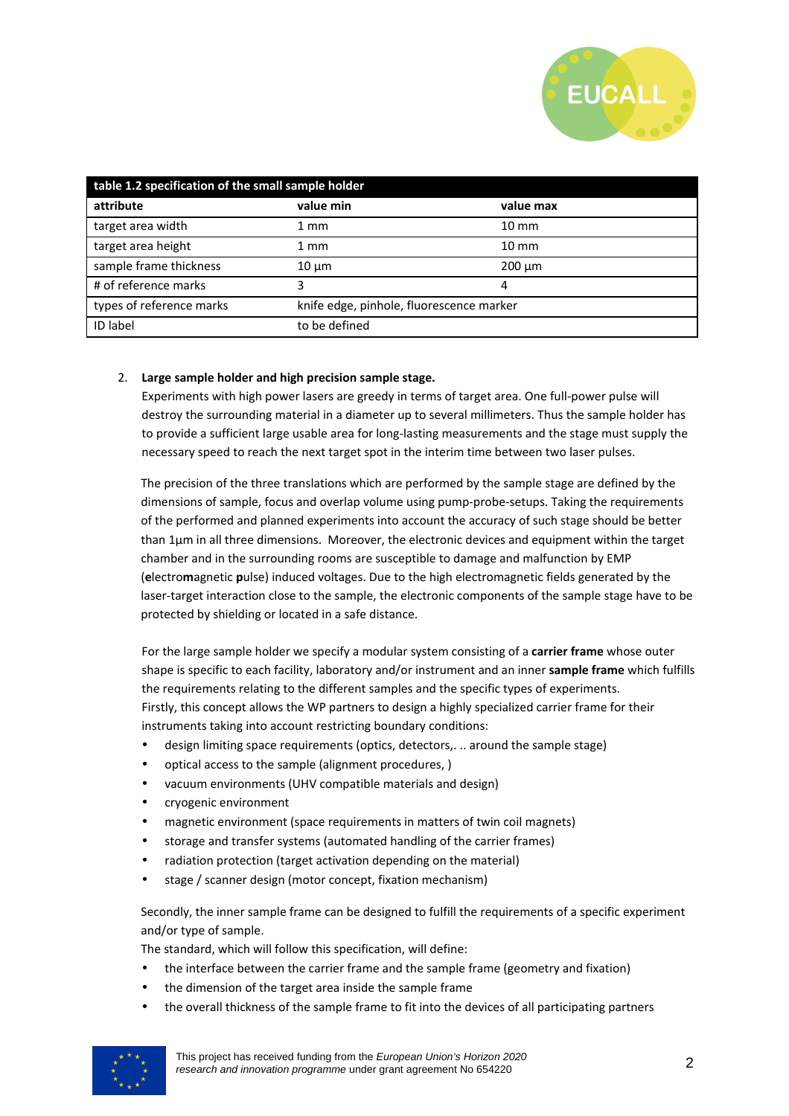

| table 1.2 specification of the small sample holder |                                          |                 |  |  |
|----------------------------------------------------|------------------------------------------|-----------------|--|--|
| attribute                                          | value min                                | value max       |  |  |
| target area width                                  | 1 mm                                     | $10 \text{ mm}$ |  |  |
| target area height                                 | 1 mm                                     | $10 \text{ mm}$ |  |  |
| sample frame thickness                             | $10 \mu m$                               | $200 \mu m$     |  |  |
| # of reference marks                               |                                          | 4               |  |  |
| types of reference marks                           | knife edge, pinhole, fluorescence marker |                 |  |  |
| <b>ID</b> label                                    | to be defined                            |                 |  |  |

## 2. **Large sample holder and high precision sample stage.**

Experiments with high power lasers are greedy in terms of target area. One full-power pulse will destroy the surrounding material in a diameter up to several millimeters. Thus the sample holder has to provide a sufficient large usable area for long-lasting measurements and the stage must supply the necessary speed to reach the next target spot in the interim time between two laser pulses.

The precision of the three translations which are performed by the sample stage are defined by the dimensions of sample, focus and overlap volume using pump-probe-setups. Taking the requirements of the performed and planned experiments into account the accuracy of such stage should be better than 1µm in all three dimensions. Moreover, the electronic devices and equipment within the target chamber and in the surrounding rooms are susceptible to damage and malfunction by EMP (**e**lectro**m**agnetic **p**ulse) induced voltages. Due to the high electromagnetic fields generated by the laser-target interaction close to the sample, the electronic components of the sample stage have to be protected by shielding or located in a safe distance.

For the large sample holder we specify a modular system consisting of a **carrier frame** whose outer shape is specific to each facility, laboratory and/or instrument and an inner **sample frame** which fulfills the requirements relating to the different samples and the specific types of experiments. Firstly, this concept allows the WP partners to design a highly specialized carrier frame for their instruments taking into account restricting boundary conditions:

- design limiting space requirements (optics, detectors,. .. around the sample stage)
- optical access to the sample (alignment procedures, )
- vacuum environments (UHV compatible materials and design)
- cryogenic environment
- magnetic environment (space requirements in matters of twin coil magnets)
- storage and transfer systems (automated handling of the carrier frames)
- radiation protection (target activation depending on the material)
- stage / scanner design (motor concept, fixation mechanism)

Secondly, the inner sample frame can be designed to fulfill the requirements of a specific experiment and/or type of sample.

The standard, which will follow this specification, will define:

- the interface between the carrier frame and the sample frame (geometry and fixation)
- the dimension of the target area inside the sample frame
- the overall thickness of the sample frame to fit into the devices of all participating partners